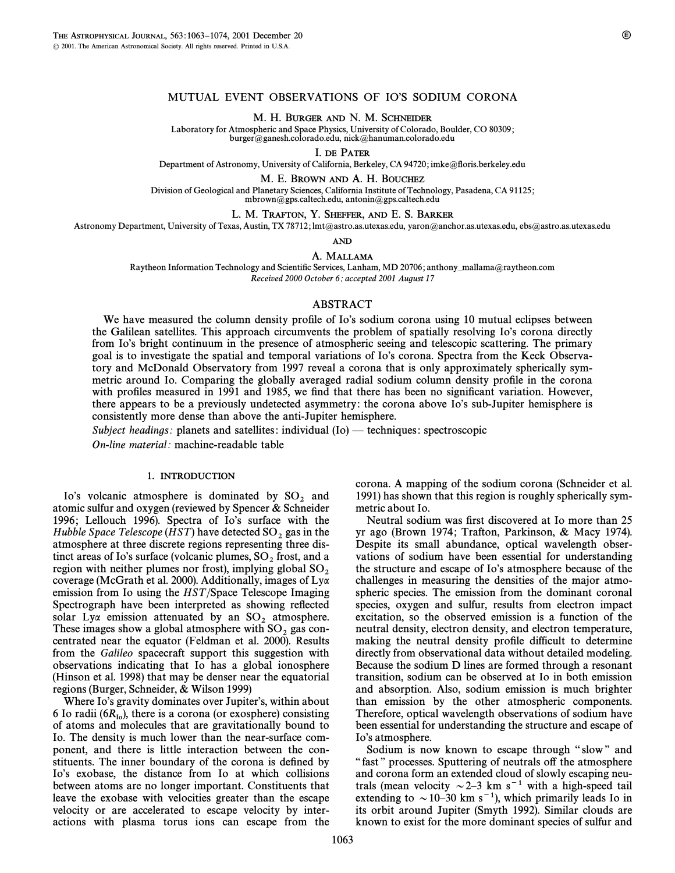# MUTUAL EVENT OBSERVATIONS OF IO'S SODIUM CORONA

M. H. BURGER AND N. M. SCHNEIDER

Laboratory for Atmospheric and Space Physics, University of Colorado, Boulder, CO 80309; burger@ganesh.colorado.edu, nick@hanuman.colorado.edu

I. DE PATER

Department of Astronomy, University of California, Berkeley, CA 94720; imke@floris.berkeley.edu

## M. E. BROWN AND A. H. BOUCHEZ

Division of Geological and Planetary Sciences, California Institute of Technology, Pasadena, CA 91125; mbrown@gps.caltech.edu, antonin@gps.caltech.edu

#### L. M. TRAFTON, Y. SHEFFER, AND E. S. BARKER

Astronomy Department, University of Texas, Austin, TX 78712; lmt@astro.as.utexas.edu, yaron@anchor.as.utexas.edu, ebs@astro.as.utexas.edu

AND

## A. MALLAMA

Raytheon Information Technology and Scientific Services, Lanham, MD 20706; anthony\_mallama@raytheon.com Received 2000 October 6; accepted 2001 August 17

# ABSTRACT

We have measured the column density profile of Io's sodium corona using 10 mutual eclipses between the Galilean satellites. This approach circumvents the problem of spatially resolving Io's corona directly from Io's bright continuum in the presence of atmospheric seeing and telescopic scattering. The primary goal is to investigate the spatial and temporal variations of Io's corona. Spectra from the Keck Observatory and McDonald Observatory from 1997 reveal a corona that is only approximately spherically symmetric around Io. Comparing the globally averaged radial sodium column density profile in the corona with profiles measured in 1991 and 1985, we find that there has been no significant variation. However, there appears to be a previously undetected asymmetry: the corona above Io's sub-Jupiter hemisphere is consistently more dense than above the anti-Jupiter hemisphere.

Subject headings: planets and satellites: individual  $(Io)$  — techniques: spectroscopic

On-line material: machine-readable table

### 1. INTRODUCTION

Io's volcanic atmosphere is dominated by  $SO_2$  and atomic sulfur and oxygen (reviewed by Spencer & Schneider 1996; Lellouch 1996). Spectra of Io's surface with the Hubble Space Telescope (HST) have detected  $SO_2$  gas in the atmosphere at three discrete regions representing three distinct areas of Io's surface (volcanic plumes,  $SO_2$  frost, and a region with neither plumes nor frost), implying global  $SO_2$  coverage (McGrath et al. 2000). Additionally, images of Ly $\alpha$ emission from Io using the HST/Space Telescope Imaging Spectrograph have been interpreted as showing reflected solar  $Ly\alpha$  emission attenuated by an  $SO_2$  atmosphere. These images show a global atmosphere with  $SO_2$  gas concentrated near the equator (Feldman et al. 2000). Results from the Galileo spacecraft support this suggestion with observations indicating that Io has a global ionosphere (Hinson et al. 1998) that may be denser near the equatorial regions (Burger, Schneider, & Wilson 1999)

Where Io's gravity dominates over Jupiter's, within about 6 Io radii ( $6R_{I0}$ ), there is a corona (or exosphere) consisting of atoms and molecules that are gravitationally bound to Io. The density is much lower than the near-surface component, and there is little interaction between the constituents. The inner boundary of the corona is defined by Io's exobase, the distance from Io at which collisions between atoms are no longer important. Constituents that leave the exobase with velocities greater than the escape velocity or are accelerated to escape velocity by interactions with plasma torus ions can escape from the corona. A mapping of the sodium corona (Schneider et al. 1991) has shown that this region is roughly spherically symmetric about Io.

Neutral sodium was first discovered at Io more than 25 yr ago (Brown 1974; Trafton, Parkinson, & Macy 1974). Despite its small abundance, optical wavelength observations of sodium have been essential for understanding the structure and escape of Io's atmosphere because of the challenges in measuring the densities of the major atmospheric species. The emission from the dominant coronal species, oxygen and sulfur, results from electron impact excitation, so the observed emission is a function of the neutral density, electron density, and electron temperature, making the neutral density profile difficult to determine directly from observational data without detailed modeling. Because the sodium D lines are formed through a resonant transition, sodium can be observed at Io in both emission and absorption. Also, sodium emission is much brighter than emission by the other atmospheric components. Therefore, optical wavelength observations of sodium have been essential for understanding the structure and escape of Io's atmosphere.

Sodium is now known to escape through "slow" and "fast" processes. Sputtering of neutrals off the atmosphere and corona form an extended cloud of slowly escaping neutrals (mean velocity  $\sim$  2–3 km s<sup>-1</sup> with a high-speed tail extending to  $\sim$  10–30 km s<sup>-1</sup>), which primarily leads Io in its orbit around Jupiter (Smyth 1992). Similar clouds are known to exist for the more dominant species of sulfur and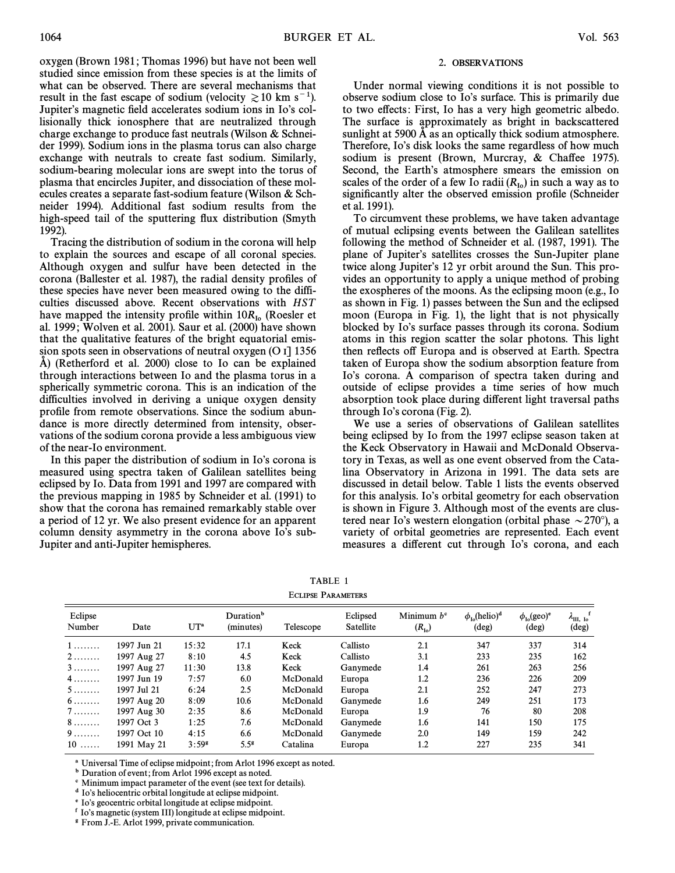oxygen (Brown 1981; Thomas 1996) but have not been well studied since emission from these species is at the limits of what can be observed. There are several mechanisms that result in the fast escape of sodium (velocity  $\ge 10$  km s<sup>-1</sup>). Jupiter's magnetic field accelerates sodium ions in Io's collisionally thick ionosphere that are neutralized through charge exchange to produce fast neutrals (Wilson & Schneider 1999). Sodium ions in the plasma torus can also charge exchange with neutrals to create fast sodium. Similarly, sodium-bearing molecular ions are swept into the torus of plasma that encircles Jupiter, and dissociation of these molecules creates a separate fast-sodium feature (Wilson & Schneider 1994). Additional fast sodium results from the high-speed tail of the sputtering flux distribution (Smyth 1992).

Tracing the distribution of sodium in the corona will help to explain the sources and escape of all coronal species. Although oxygen and sulfur have been detected in the corona (Ballester et al. 1987), the radial density profiles of these species have never been measured owing to the difficulties discussed above. Recent observations with HST have mapped the intensity profile within  $10R_{I_0}$  (Roesler et al. 1999; Wolven et al. 2001). Saur et al. (2000) have shown that the qualitative features of the bright equatorial emission spots seen in observations of neutral oxygen  $(O I]$  1356 A) (Retherford et al. 2000) close to Io can be explained through interactions between Io and the plasma torus in a spherically symmetric corona. This is an indication of the difficulties involved in deriving a unique oxygen density profile from remote observations. Since the sodium abundance is more directly determined from intensity, observations of the sodium corona provide a less ambiguous view of the near-Io environment.

In this paper the distribution of sodium in Io's corona is measured using spectra taken of Galilean satellites being eclipsed by Io. Data from 1991 and 1997 are compared with the previous mapping in 1985 by Schneider et al. (1991) to show that the corona has remained remarkably stable over a period of 12 yr. We also present evidence for an apparent column density asymmetry in the corona above Io's sub-Jupiter and anti-Jupiter hemispheres.

## 2. OBSERVATIONS

Under normal viewing conditions it is not possible to observe sodium close to Io's surface. This is primarily due to two effects: First, Io has a very high geometric albedo. The surface is approximately as bright in backscattered sunlight at 5900  $\AA$  as an optically thick sodium atmosphere. Therefore, Io's disk looks the same regardless of how much sodium is present (Brown, Murcray, & Chaffee 1975). Second, the Earth's atmosphere smears the emission on scales of the order of a few Io radii  $(R_{I_0})$  in such a way as to significantly alter the observed emission profile (Schneider et al. 1991).

To circumvent these problems, we have taken advantage of mutual eclipsing events between the Galilean satellites following the method of Schneider et al. (1987, 1991). The plane of Jupiter's satellites crosses the Sun-Jupiter plane twice along Jupiter's 12 yr orbit around the Sun. This provides an opportunity to apply a unique method of probing the exospheres of the moons. As the eclipsing moon (e.g., Io as shown in Fig. 1) passes between the Sun and the eclipsed moon (Europa in Fig. 1), the light that is not physically blocked by Io's surface passes through its corona. Sodium atoms in this region scatter the solar photons. This light then reflects off Europa and is observed at Earth. Spectra taken of Europa show the sodium absorption feature from Io's corona. A comparison of spectra taken during and outside of eclipse provides a time series of how much absorption took place during different light traversal paths through Io's corona (Fig. 2).

We use a series of observations of Galilean satellites being eclipsed by Io from the 1997 eclipse season taken at the Keck Observatory in Hawaii and McDonald Observatory in Texas, as well as one event observed from the Catalina Observatory in Arizona in 1991. The data sets are discussed in detail below. Table 1 lists the events observed for this analysis. Io's orbital geometry for each observation is shown in Figure 3. Although most of the events are clustered near Io's western elongation (orbital phase  $\sim$  270°), a variety of orbital geometries are represented. Each event measures a different cut through Io's corona, and each

TABLE 1 ECLIPSE PARAMETERS

| Eclipse<br>Number | Date        | $UT^a$            | Duration <sup>b</sup><br>(minutes) | Telescope | Eclipsed<br>Satellite | Minimum $b^c$<br>$(R_{I_0})$ | $\phi_{\rm lo}$ (helio) <sup>d</sup><br>$(\text{deg})$ | $\phi_{\text{lo}}(\text{geo})^e$<br>$(\deg)$ | $\lambda_{\text{III, Io}}^{\text{f}}$<br>$(\text{deg})$ |
|-------------------|-------------|-------------------|------------------------------------|-----------|-----------------------|------------------------------|--------------------------------------------------------|----------------------------------------------|---------------------------------------------------------|
| 1                 | 1997 Jun 21 | 15:32             | 17.1                               | Keck      | Callisto              | 2.1                          | 347                                                    | 337                                          | 314                                                     |
| $2 \ldots \ldots$ | 1997 Aug 27 | 8:10              | 4.5                                | Keck      | Callisto              | 3.1                          | 233                                                    | 235                                          | 162                                                     |
| $3 \ldots \ldots$ | 1997 Aug 27 | 11:30             | 13.8                               | Keck      | Ganymede              | 1.4                          | 261                                                    | 263                                          | 256                                                     |
| 4                 | 1997 Jun 19 | 7:57              | 6.0                                | McDonald  | Europa                | 1.2                          | 236                                                    | 226                                          | 209                                                     |
| 5                 | 1997 Jul 21 | 6:24              | 2.5                                | McDonald  | Europa                | 2.1                          | 252                                                    | 247                                          | 273                                                     |
| $6 \ldots \ldots$ | 1997 Aug 20 | 8:09              | 10.6                               | McDonald  | Ganymede              | 1.6                          | 249                                                    | 251                                          | 173                                                     |
| $7\dots\dots$     | 1997 Aug 30 | 2:35              | 8.6                                | McDonald  | Europa                | 1.9                          | 76                                                     | 80                                           | 208                                                     |
| $8\dots\dots$     | 1997 Oct 3  | 1:25              | 7.6                                | McDonald  | Ganymede              | 1.6                          | 141                                                    | 150                                          | 175                                                     |
| $9 \ldots \ldots$ | 1997 Oct 10 | 4:15              | 6.6                                | McDonald  | Ganymede              | 2.0                          | 149                                                    | 159                                          | 242                                                     |
| $10$              | 1991 May 21 | 3:59 <sup>8</sup> | 5.5 <sup>8</sup>                   | Catalina  | Europa                | 1.2                          | 227                                                    | 235                                          | 341                                                     |
|                   |             |                   |                                    |           |                       |                              |                                                        |                                              |                                                         |

a Universal Time of eclipse midpoint; from Arlot 1996 except as noted.

**b** Duration of event; from Arlot 1996 except as noted.

c Minimum impact parameter of the event (see text for details).

<sup>d</sup> Io's heliocentric orbital longitude at eclipse midpoint.

<sup>e</sup> Io's geocentric orbital longitude at eclipse midpoint.

 $f$ Io's magnetic (system III) longitude at eclipse midpoint.

g From J.-E. Arlot 1999, private communication.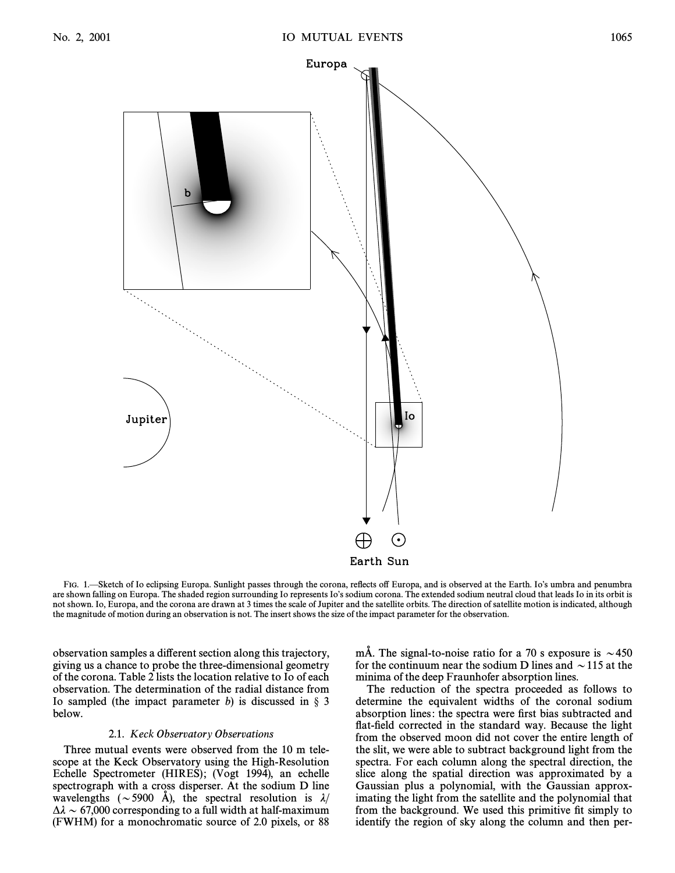

FIG. 1.—Sketch of Io eclipsing Europa. Sunlight passes through the corona, reflects off Europa, and is observed at the Earth. Io's umbra and penumbra are shown falling on Europa. The shaded region surrounding Io represents Io's sodium corona. The extended sodium neutral cloud that leads Io in its orbit is not shown. Io, Europa, and the corona are drawn at 3 times the scale of Jupiter and the satellite orbits. The direction of satellite motion is indicated, although the magnitude of motion during an observation is not. The insert shows the size of the impact parameter for the observation.

observation samples a di†erent section along this trajectory, giving us a chance to probe the three-dimensional geometry of the corona. Table 2 lists the location relative to Io of each observation. The determination of the radial distance from Io sampled (the impact parameter b) is discussed in  $\S$  3 below.

# 2.1. Keck Observatory Observations

Three mutual events were observed from the 10 m telescope at the Keck Observatory using the High-Resolution Echelle Spectrometer (HIRES); (Vogt 1994), an echelle spectrograph with a cross disperser. At the sodium D line wavelengths ( $\sim$  5900 Å), the spectral resolution is  $\lambda$ /  $\Delta \lambda \sim 67,000$  corresponding to a full width at half-maximum (FWHM) for a monochromatic source of 2.0 pixels, or 88 mÅ. The signal-to-noise ratio for a 70 s exposure is  $\sim$  450 for the continuum near the sodium D lines and  $\sim$  115 at the minima of the deep Fraunhofer absorption lines.

The reduction of the spectra proceeded as follows to determine the equivalent widths of the coronal sodium absorption lines: the spectra were first bias subtracted and flat-field corrected in the standard way. Because the light from the observed moon did not cover the entire length of the slit, we were able to subtract background light from the spectra. For each column along the spectral direction, the slice along the spatial direction was approximated by a Gaussian plus a polynomial, with the Gaussian approximating the light from the satellite and the polynomial that from the background. We used this primitive fit simply to identify the region of sky along the column and then per-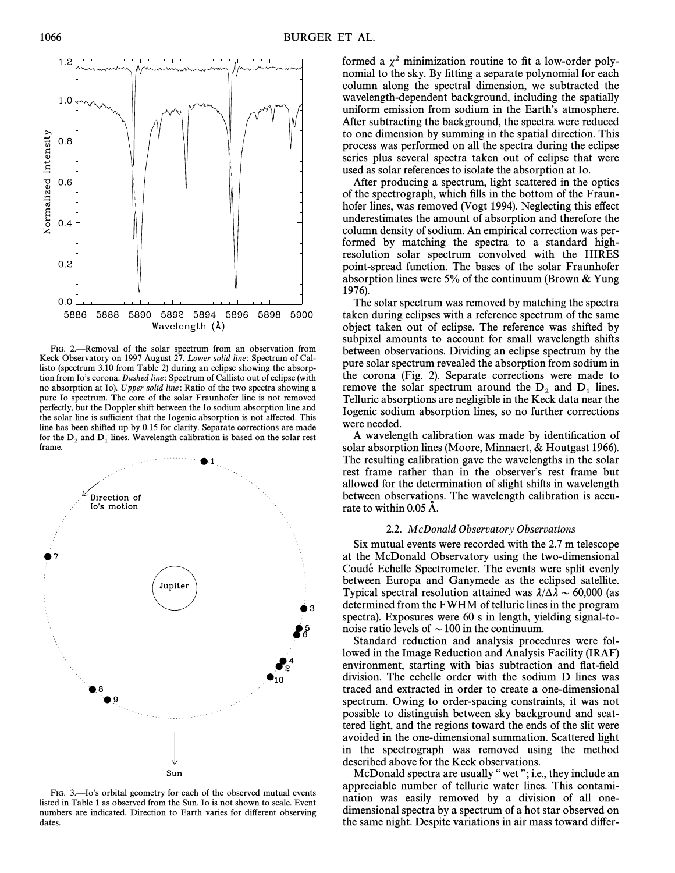FIG. 2.—Removal of the solar spectrum from an observation from Keck Observatory on 1997 August 27. Lower solid line: Spectrum of Callisto (spectrum 3.10 from Table 2) during an eclipse showing the absorption from Io's corona. Dashed line: Spectrum of Callisto out of eclipse (with no absorption at Io). Upper solid line: Ratio of the two spectra showing a pure Io spectrum. The core of the solar Fraunhofer line is not removed perfectly, but the Doppler shift between the Io sodium absorption line and the solar line is sufficient that the Iogenic absorption is not affected. This line has been shifted up by 0.15 for clarity. Separate corrections are made for the  $D_2$  and  $D_1$  lines. Wavelength calibration is based on the solar rest frame.

Jupiter ₩9 Sun FIG. 3.—Io's orbital geometry for each of the observed mutual events listed in Table 1 as observed from the Sun. Io is not shown to scale. Event numbers are indicated. Direction to Earth varies for different observing

dates.

formed a  $\chi^2$  minimization routine to fit a low-order polynomial to the sky. By fitting a separate polynomial for each column along the spectral dimension, we subtracted the wavelength-dependent background, including the spatially uniform emission from sodium in the Earth's atmosphere. After subtracting the background, the spectra were reduced to one dimension by summing in the spatial direction. This process was performed on all the spectra during the eclipse series plus several spectra taken out of eclipse that were used as solar references to isolate the absorption at Io.

After producing a spectrum, light scattered in the optics of the spectrograph, which fills in the bottom of the Fraunhofer lines, was removed (Vogt 1994). Neglecting this effect underestimates the amount of absorption and therefore the column density of sodium. An empirical correction was performed by matching the spectra to a standard highresolution solar spectrum convolved with the HIRES point-spread function. The bases of the solar Fraunhofer absorption lines were 5% of the continuum (Brown & Yung 1976).

The solar spectrum was removed by matching the spectra taken during eclipses with a reference spectrum of the same object taken out of eclipse. The reference was shifted by subpixel amounts to account for small wavelength shifts between observations. Dividing an eclipse spectrum by the pure solar spectrum revealed the absorption from sodium in the corona (Fig. 2). Separate corrections were made to remove the solar spectrum around the  $D_2$  and  $D_1$  lines.<br>Telluric absorptions are negligible in the Keck data near the Iogenic sodium absorption lines, so no further corrections were needed.

A wavelength calibration was made by identification of solar absorption lines (Moore, Minnaert, & Houtgast 1966). The resulting calibration gave the wavelengths in the solar rest frame rather than in the observer's rest frame but allowed for the determination of slight shifts in wavelength between observations. The wavelength calibration is accurate to within 0.05 A.

# 2.2. McDonald Observatory Observations

Six mutual events were recorded with the 2.7 m telescope at the McDonald Observatory using the two-dimensional Coudé Echelle Spectrometer. The events were split evenly between Europa and Ganymede as the eclipsed satellite. Typical spectral resolution attained was  $\lambda/\Delta\lambda \sim 60,000$  (as determined from the FWHM of telluric lines in the program spectra). Exposures were 60 s in length, yielding signal-tonoise ratio levels of  $\sim$  100 in the continuum.

Standard reduction and analysis procedures were followed in the Image Reduction and Analysis Facility (IRAF) environment, starting with bias subtraction and flat-field division. The echelle order with the sodium D lines was traced and extracted in order to create a one-dimensional spectrum. Owing to order-spacing constraints, it was not possible to distinguish between sky background and scattered light, and the regions toward the ends of the slit were avoided in the one-dimensional summation. Scattered light in the spectrograph was removed using the method described above for the Keck observations.

McDonald spectra are usually "wet"; i.e., they include an appreciable number of telluric water lines. This contamination was easily removed by a division of all onedimensional spectra by a spectrum of a hot star observed on the same night. Despite variations in air mass toward differ-



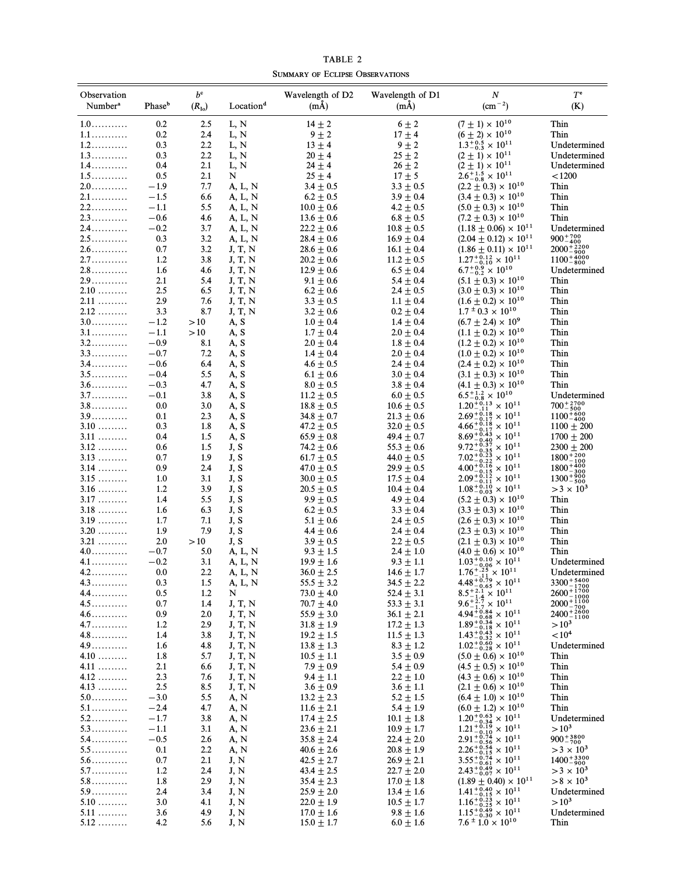TABLE 2 SUMMARY OF ECLIPSE OBSERVATIONS

| Observation<br>Number <sup>a</sup>  | Phaseb           | $b^{\rm c}$<br>$(R_{I_0})$ | Location <sup>d</sup> | Wavelength of D2<br>(mA)         | Wavelength of D1<br>$(m\AA)$     | $\boldsymbol{N}$<br>$(cm^{-2})$                                                                                                                                                                           | $T^{\text{e}}$<br>(K)                                   |
|-------------------------------------|------------------|----------------------------|-----------------------|----------------------------------|----------------------------------|-----------------------------------------------------------------------------------------------------------------------------------------------------------------------------------------------------------|---------------------------------------------------------|
| $1.0 \ldots \ldots \ldots$          | 0.2              | 2.5                        | L, N                  | $14 \pm 2$                       | $6 \pm 2$                        | $(7 \pm 1) \times 10^{10}$                                                                                                                                                                                | Thin                                                    |
| 1.1                                 | 0.2              | 2.4                        | L, N                  | $9 \pm 2$                        | $17 \pm 4$                       | $(6 \pm 2) \times 10^{10}$                                                                                                                                                                                | Thin                                                    |
| $1.2 \ldots \ldots \ldots$          | 0.3              | 2.2                        | L, N                  | $13 \pm 4$                       | $9 \pm 2$                        | $1.3^{+0.5}_{-0.3} \times 10^{11}$                                                                                                                                                                        | Undetermined                                            |
| $1.3 \ldots \ldots \ldots$          | 0.3              | 2.2                        | L, N                  | $20 \pm 4$                       | $25 \pm 2$                       | $(2 \pm 1) \times 10^{11}$                                                                                                                                                                                | Undetermined                                            |
| 1.4.<br>$1.5$                       | 0.4              | 2.1                        | L, N<br>N             | $24 \pm 4$                       | $26 \pm 2$                       | $(2 \pm 1) \times 10^{11}$                                                                                                                                                                                | Undetermined<br>< 1200                                  |
| $2.0$                               | 0.5<br>$-1.9$    | 2.1<br>7.7                 | A, L, N               | $25 \pm 4$<br>$3.4 \pm 0.5$      | $17 \pm 5$<br>$3.3 \pm 0.5$      | $2.6^{+1.5}_{-0.8} \times 10^{11}$<br>$(2.2 \pm 0.3) \times 10^{10}$                                                                                                                                      | Thin                                                    |
| 2.1                                 | $-1.5$           | 6.6                        | A, L, N               | $6.2 \pm 0.5$                    | $3.9 \pm 0.4$                    | $(3.4 \pm 0.3) \times 10^{10}$                                                                                                                                                                            | Thin                                                    |
| $2.2$                               | $-1.1$           | 5.5                        | A, L, N               | $10.0 \pm 0.6$                   | $4.2 \pm 0.5$                    | $(5.0 \pm 0.3) \times 10^{10}$                                                                                                                                                                            | Thin                                                    |
| $2.3 \ldots \ldots \ldots$          | $-0.6$           | 4.6                        | A, L, N               | $13.6 \pm 0.6$                   | $6.8 \pm 0.5$                    | $(7.2 \pm 0.3) \times 10^{10}$                                                                                                                                                                            | Thin                                                    |
| $2.4 \ldots \ldots \ldots$          | $-0.2$           | 3.7                        | A, L, N               | $22.2 \pm 0.6$                   | $10.8 \pm 0.5$                   | $(1.18 \pm 0.06) \times 10^{11}$                                                                                                                                                                          | Undetermined                                            |
| $2.5$                               | 0.3              | 3.2                        | A, L, N               | $28.4 \pm 0.6$                   | $16.9 \pm 0.4$                   | $(2.04 \pm 0.12) \times 10^{11}$                                                                                                                                                                          | $900^{+700}_{-400}$                                     |
| 2.6                                 | 0.7              | 3.2                        | J, T, N               | $28.6 \pm 0.6$                   | $16.1 \pm 0.4$                   | $(1.86 \pm 0.11) \times 10^{11}$                                                                                                                                                                          | $2000^{+2200}_{-900}$ $1100^{+4000}_{-800}$             |
| $2.7 \ldots \ldots$                 | 1.2              | 3.8                        | J, T, N               | $20.2 \pm 0.6$                   | $11.2 \pm 0.5$                   | $1.27^{+0.12}_{-0.10} \times 10^{11}$<br>$6.7^{+0.9}_{-0.2} \times 10^{10}$                                                                                                                               |                                                         |
| $2.8$                               | 1.6              | 4.6                        | J, T, N               | $12.9 \pm 0.6$                   | $6.5 \pm 0.4$                    |                                                                                                                                                                                                           | Undetermined                                            |
| $2.9$<br>2.10                       | 2.1<br>2.5       | 5.4<br>6.5                 | J, T, N<br>J, T, N    | $9.1 \pm 0.6$<br>$6.2 \pm 0.6$   | $5.4 \pm 0.4$<br>$2.4 \pm 0.5$   | $(5.1 \pm 0.3) \times 10^{10}$<br>$(3.0 \pm 0.3) \times 10^{10}$                                                                                                                                          | Thin<br>Thin                                            |
| $2.11$                              | 2.9              | 7.6                        | J, T, N               | $3.3 \pm 0.5$                    | $1.1 \pm 0.4$                    | $(1.6 \pm 0.2) \times 10^{10}$                                                                                                                                                                            | Thin                                                    |
| $2.12$                              | 3.3              | 8.7                        | J, T, N               | $3.2 \pm 0.6$                    | $0.2 \pm 0.4$                    | $1.7 \pm 0.3 \times 10^{10}$                                                                                                                                                                              | Thin                                                    |
| $3.0$                               | $-1.2$           | >10                        | A, S                  | $1.0 \pm 0.4$                    | $1.4 \pm 0.4$                    | $(6.7 \pm 2.4) \times 10^9$                                                                                                                                                                               | Thin                                                    |
| $3.1$                               | $-1.1$           | >10                        | A, S                  | $1.7 \pm 0.4$                    | $2.0 \pm 0.4$                    | $(1.1 \pm 0.2) \times 10^{10}$                                                                                                                                                                            | Thin                                                    |
| $3.2 \ldots \ldots \ldots$          | $-0.9$           | 8.1                        | A, S                  | $2.0 \pm 0.4$                    | $1.8 \pm 0.4$                    | $(1.2 \pm 0.2) \times 10^{10}$                                                                                                                                                                            | Thin                                                    |
| $3.3 \ldots \ldots \ldots$          | $-0.7$           | 7.2                        | A, S                  | $1.4 \pm 0.4$                    | $2.0 \pm 0.4$                    | $(1.0 \pm 0.2) \times 10^{10}$                                                                                                                                                                            | Thin                                                    |
| $3.4 \ldots \ldots \ldots$          | $-0.6$           | 6.4                        | A, S                  | $4.6 \pm 0.5$                    | $2.4 \pm 0.4$                    | $(2.4 \pm 0.2) \times 10^{10}$                                                                                                                                                                            | Thin                                                    |
| $3.5$                               | $-0.4$           | 5.5                        | A, S                  | $6.1 \pm 0.6$                    | $3.0 \pm 0.4$                    | $(3.1 \pm 0.3) \times 10^{10}$                                                                                                                                                                            | Thin                                                    |
| $3.6\dots\dots\dots\dots$           | $-0.3$           | 4.7                        | A, S                  | $8.0 \pm 0.5$                    | $3.8 \pm 0.4$                    | $(4.1 \pm 0.3) \times 10^{10}$                                                                                                                                                                            | Thin                                                    |
| $3.7 \ldots \ldots \ldots$<br>$3.8$ | $-0.1$           | 3.8<br>3.0                 | A, S                  | $11.2 + 0.5$                     | $6.0 \pm 0.5$                    | $6.5^{+1.2}_{-0.8} \times 10^{10}$<br>1.20 <sup>+</sup> <sub>0.13</sub> × 10 <sup>11</sup><br>2.69 <sup>+</sup> <sub>0.18</sub> × 10 <sup>11</sup>                                                        | Undetermined                                            |
| $3.9\dots\dots\dots\dots$           | 0.0<br>0.1       | 2.3                        | A, S<br>A, S          | $18.8 \pm 0.5$<br>$34.8 \pm 0.7$ | $10.6 \pm 0.5$<br>$21.3 \pm 0.6$ |                                                                                                                                                                                                           | $700^{+2700}_{-500}$<br>$1100 + 600$                    |
| $3.10$                              | 0.3              | 1.8                        | A, S                  | $47.2 \pm 0.5$                   | $32.0 \pm 0.5$                   | $4.66^{+0.18}_{-0.17} \times 10^{11}$                                                                                                                                                                     | $1100 \pm 200$                                          |
| $3.11$                              | 0.4              | 1.5                        | A, S                  | $65.9 \pm 0.8$                   | 49.4 $\pm$ 0.7                   |                                                                                                                                                                                                           | $1700 \pm 200$                                          |
| $3.12$                              | 0.6              | 1.5                        | J, S                  | $74.2 \pm 0.6$                   | $55.3\pm0.6$                     | $8.69_{-0.40}^{+0.43} \times 10^{11}$<br>9.72 <sup>+0.37</sup> × 10 <sup>11</sup>                                                                                                                         | $2300 \pm 200$                                          |
| $3.13$                              | 0.7              | 1.9                        | J, S                  | $61.7 \pm 0.5$                   | $44.0 \pm 0.5$                   | $7.02^{+0.23}_{-0.22} \times 10^{11}$                                                                                                                                                                     | $1800^{+200}_{-100}$                                    |
| $3.14 \ldots$                       | 0.9              | 2.4                        | J, S                  | $47.0 \pm 0.5$                   | $29.9 \pm 0.5$                   | $4.00_{-0.15}^{+0.12} \times 10^{11}$<br>$2.09_{-0.11}^{+0.12} \times 10^{11}$<br>$1.08_{-0.03}^{+0.10} \times 10^{11}$                                                                                   | $\frac{1800 + \frac{400}{300}}{1300 + \frac{900}{500}}$ |
| $3.15$                              | 1.0              | 3.1                        | J, S                  | $30.0 \pm 0.5$                   | $17.5 \pm 0.4$                   |                                                                                                                                                                                                           |                                                         |
| $3.16 \ldots$                       | 1.2              | 3.9                        | J, S                  | $20.5 \pm 0.5$                   | $10.4 \pm 0.4$                   |                                                                                                                                                                                                           | $>$ 3 $\times$ 10 <sup>3</sup>                          |
| 3.17                                | 1.4              | 5.5                        | J, S                  | $9.9 \pm 0.5$                    | $4.9 \pm 0.4$                    | $(5.2 \pm 0.3) \times 10^{10}$                                                                                                                                                                            | Thin                                                    |
| $3.18$<br>$3.19$                    | 1.6<br>1.7       | 6.3<br>7.1                 | J, S<br>J, S          | $6.2 \pm 0.5$                    | $3.3 \pm 0.4$                    | $(3.3 \pm 0.3) \times 10^{10}$                                                                                                                                                                            | Thin<br>Thin                                            |
| $3.20$                              | 1.9              | 7.9                        | J, S                  | $5.1 \pm 0.6$<br>$4.4 \pm 0.6$   | $2.4 \pm 0.5$<br>$2.4 \pm 0.4$   | $(2.6 \pm 0.3) \times 10^{10}$<br>$(2.3 \pm 0.3) \times 10^{10}$                                                                                                                                          | Thin                                                    |
| $3.21$                              | 2.0              | >10                        | J, S                  | $3.9 \pm 0.5$                    | $2.2 \pm 0.5$                    | $(2.1 \pm 0.3) \times 10^{10}$                                                                                                                                                                            | Thin                                                    |
| $4.0$                               | $-0.7$           | 5.0                        | A, L, N               | $9.3 \pm 1.5$                    | $2.4 \pm 1.0$                    | $(4.0 \pm 0.6) \times 10^{10}$                                                                                                                                                                            | Thin                                                    |
| 4.1                                 | $-0.2$           | 3.1                        | A, L, N               | $19.9 \pm 1.6$                   | $9.3 \pm 1.1$                    | $1.03^{+0.10}_{-0.06} \times 10^{11}$                                                                                                                                                                     | Undetermined                                            |
| $4.2$                               | 0.0              | 2.2                        | A, L, N               | $36.0 \pm 2.5$                   | $14.6 \pm 1.7$                   | $1.76^{+.25}_{-.11} \times 10^{11}$                                                                                                                                                                       | Undetermined                                            |
| $4.3$                               | 0.3              | 1.5                        | A, L, N               | $55.5 \pm 3.2$                   | $34.5 \pm 2.2$                   | $4.48^{+0.79}_{-0.65} \times 10^{11}$                                                                                                                                                                     | $3300^{+5400}_{-1700}$<br>$2600^{+1700}_{-1000}$        |
| 4.4                                 | 0.5              | 1.2                        | N                     | $73.0 \pm 4.0$                   | $52.4 \pm 3.1$                   | $8.5^{+2.1}_{-1.4} \times 10^{11}$                                                                                                                                                                        |                                                         |
| $4.5$                               | 0.7              | 1.4                        | J, T, N               | $70.7 \pm 4.0$                   | $53.3 \pm 3.1$                   | $9.6^{+2.7}_{-1.7} \times 10^{11}$                                                                                                                                                                        | $2000^{+\overline{1100}}_{-700}$                        |
| $4.6$<br>$4.7 \ldots \ldots \ldots$ | 0.9              | 2.0<br>2.9                 | J, T, N<br>J, T, N    | $55.9 \pm 3.0$<br>$31.8 \pm 1.9$ | $36.1 \pm 2.1$                   | $4.94_{-0.68}^{+0.84} \times 10^{11}$<br>$1.89_{-0.18}^{+0.34} \times 10^{11}$                                                                                                                            | $2400^{+2600}_{-1100}$<br>$>10^{3}$                     |
| $4.8\dots\dots\dots\dots$           | 1.2<br>1.4       | 3.8                        | J, T, N               | $19.2 \pm 1.5$                   | $17.2 \pm 1.3$<br>$11.5 \pm 1.3$ | $1.43^{+0.43}_{-0.32} \times 10^{11}$                                                                                                                                                                     | ${<}10^4$                                               |
| 4.9                                 | 1.6              | 4.8                        | J, T, N               | $13.8 \pm 1.3$                   | $8.3 \pm 1.2$                    | $1.02^{+0.60}_{-0.28} \times 10^{11}$                                                                                                                                                                     | Undetermined                                            |
| $4.10$                              | 1.8              | 5.7                        | J, T, N               | $10.5 \pm 1.1$                   | $3.5 \pm 0.9$                    | $(5.0 \pm 0.6) \times 10^{10}$                                                                                                                                                                            | Thin                                                    |
| $4.11$                              | 2.1              | 6.6                        | J, T, N               | $7.9 \pm 0.9$                    | $5.4 \pm 0.9$                    | $(4.5 \pm 0.5) \times 10^{10}$                                                                                                                                                                            | Thin                                                    |
| $4.12$                              | 2.3              | 7.6                        | J, T, N               | $9.4 \pm 1.1$                    | $2.2 \pm 1.0$                    | $(4.3 \pm 0.6) \times 10^{10}$                                                                                                                                                                            | Thin                                                    |
| $4.13$                              | 2.5              | 8.5                        | J, T, N               | $3.6 \pm 0.9$                    | $3.6 \pm 1.1$                    | $(2.1 \pm 0.6) \times 10^{10}$                                                                                                                                                                            | Thin                                                    |
| $5.0$                               | $-3.0$           | 5.5                        | A, N                  | $13.2 \pm 2.3$                   | $5.2 \pm 1.5$                    | $(6.4 \pm 1.0) \times 10^{10}$                                                                                                                                                                            | Thin                                                    |
| $5.1\dots\dots\dots\dots$           | $-2.4$           | 4.7                        | A, N                  | $11.6 \pm 2.1$                   | $5.4 \pm 1.9$                    | $(6.0 \pm 1.2) \times 10^{10}$                                                                                                                                                                            | Thin                                                    |
| $5.2$<br>$5.3 \ldots \ldots \ldots$ | $-1.7$           | 3.8                        | A, N                  | $17.4 \pm 2.5$                   | $10.1 \pm 1.8$                   | $1.20^{+0.63}_{-0.34} \times 10^{11}$                                                                                                                                                                     | Undetermined<br>$>10^{3}$                               |
| 5.4…………                             | $-1.1$<br>$-0.5$ | 3.1<br>2.6                 | A, N<br>A, N          | $23.6 \pm 2.1$<br>$35.8 \pm 2.4$ | $10.9 \pm 1.7$<br>$22.4 \pm 2.0$ |                                                                                                                                                                                                           | $900^{+3800}_{-700}$                                    |
| $5.5\dots\dots\dots\dots$           | 0.1              | 2.2                        | A, N                  | $40.6 \pm 2.6$                   | $20.8 \pm 1.9$                   | $2.21^{+0.19}_{-0.10} \times 10^{11}$<br>$2.91^{+0.19}_{-0.56} \times 10^{11}$<br>$2.26^{+0.54}_{-0.56} \times 10^{11}$<br>$3.55^{+0.74}_{-0.74} \times 10^{11}$<br>$3.52^{+0.64}_{-0.94} \times 10^{11}$ | $>$ 3 $\times$ 10 <sup>3</sup>                          |
| $5.6$                               | 0.7              | 2.1                        | J, N                  | $42.5 \pm 2.7$                   | $26.9 \pm 2.1$                   |                                                                                                                                                                                                           | $1400^{+3300}_{-900}$                                   |
| $5.7\dots\dots\dots\dots$           | 1.2              | 2.4                        | J, N                  | $43.4 \pm 2.5$                   | $22.7 \pm 2.0$                   | $2.43^{+0.49}_{-0.07} \times 10^{11}$                                                                                                                                                                     | $>$ 3 $\times$ 10 <sup>3</sup>                          |
| $5.8\dots\dots\dots\dots$           | 1.8              | 2.9                        | J, N                  | $35.4 \pm 2.3$                   | $17.0 \pm 1.8$                   | $(1.89 \pm 0.40) \times 10^{11}$                                                                                                                                                                          | $> 8 \times 10^3$                                       |
| 5.9                                 | 2.4              | 3.4                        | J, N                  | $25.9 \pm 2.0$                   | $13.4 \pm 1.6$                   | $1.41^{+0.40}_{-0.15} \times 10^{11}$                                                                                                                                                                     | Undetermined                                            |
| $5.10$                              | 3.0              | 4.1                        | J, N                  | $22.0 \pm 1.9$                   | $10.5 \pm 1.7$                   | $1.16^{+0.23}_{-0.25} \times 10^{11}$                                                                                                                                                                     | $>10^{3}$                                               |
| $5.11$                              | 3.6              | 4.9                        | J, N                  | $17.0 \pm 1.6$                   | $9.8 \pm 1.6$                    | $1.15^{+0.49}_{-0.30} \times 10^{11}$                                                                                                                                                                     | Undetermined                                            |
| $5.12$                              | 4.2              | 5.6                        | J, N                  | $15.0 \pm 1.7$                   | $6.0 \pm 1.6$                    | $7.6 \pm 1.0 \times 10^{10}$                                                                                                                                                                              | Thin                                                    |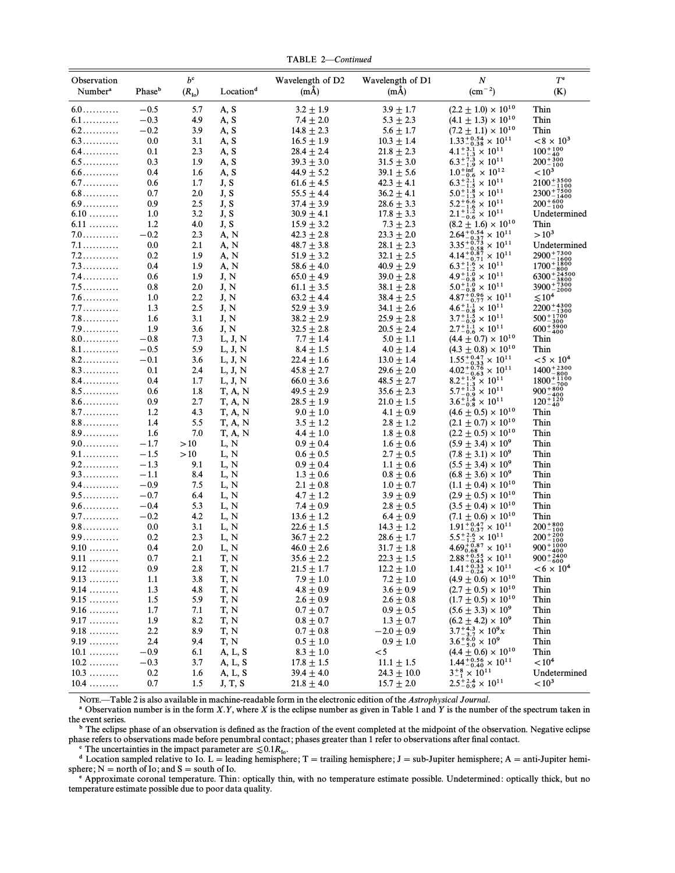TABLE 2-Continued

| Observation                 |                    | $b^{\rm c}$    |                                | Wavelength of D2                 | Wavelength of D1                 | N                                                                                             | $T^{\text{e}}$                                                       |
|-----------------------------|--------------------|----------------|--------------------------------|----------------------------------|----------------------------------|-----------------------------------------------------------------------------------------------|----------------------------------------------------------------------|
| Number <sup>a</sup>         | Phase <sup>b</sup> | $(R_{\rm Io})$ | Location <sup>d</sup>          | $(m\AA)$                         | $(m\AA)$                         | $\rm (cm^{-2})$                                                                               | (K)                                                                  |
| $6.0$                       | $-0.5$             | 5.7            | A, S                           | $3.2 \pm 1.9$                    | $3.9 \pm 1.7$                    | $(2.2 \pm 1.0) \times 10^{10}$                                                                | Thin                                                                 |
| $6.1$                       | $-0.3$             | 4.9            | A, S                           | $7.4 \pm 2.0$                    | $5.3 \pm 2.3$                    | $(4.1 \pm 1.3) \times 10^{10}$                                                                | Thin                                                                 |
| $6.2$                       | $-0.2$             | 3.9            | A, S                           | $14.8 \pm 2.3$                   | $5.6 \pm 1.7$                    | $(7.2 \pm 1.1) \times 10^{10}$                                                                | Thin                                                                 |
| $6.3\dots\dots\dots\dots$   | 0.0                | 3.1            | A, S                           | $16.5 \pm 1.9$                   | $10.3 \pm 1.4$                   | $1.33^{+0.54}_{-0.38} \times 10^{11}$                                                         | $< 8 \times 10^{3}$                                                  |
| $6.4\dots\dots\dots\dots$   | 0.1                | 2.3            | A, S                           | $28.4 \pm 2.4$                   | $21.8 \pm 2.3$                   | $4.1_{-1.3}^{+3.1} \times 10^{11}$<br>6.3 <sup>+7.3</sup> / <sub>1.9</sub> × 10 <sup>11</sup> | $\substack{100^{+100}_{-40} \\ 200^{+300}_{-100}}$                   |
| $6.5\dots\dots\dots\dots$   | 0.3                | 1.9            | A, S                           | $39.3 \pm 3.0$                   | $31.5 \pm 3.0$                   |                                                                                               |                                                                      |
| $6.6\dots\dots\dots\dots$   | 0.4                | 1.6            | A, S                           | 44.9 $\pm$ 5.2                   | $39.1 \pm 5.6$                   | $1.0^{+}$ inf $\times 10^{12}$                                                                | ${<}10^3$                                                            |
| $6.7\dots\dots\dots\dots$   | 0.6                | 1.7            | J, S                           | $61.6 \pm 4.5$                   | $42.3 \pm 4.1$                   | $6.3^{+2.1}_{-1.5} \times 10^{11}$                                                            | $2100^{+3500}_{-1100}$                                               |
| $6.8\dots\dots\dots\dots$   | 0.7                | 2.0            | J, S                           | $55.5 \pm 4.4$                   | $36.2 \pm 4.1$                   | $5.0^{+1.8}_{-1.3} \times 10^{11}$                                                            | $2300^{+7500}_{-1400}$                                               |
| $6.9\dots\dots\dots\dots$   | 0.9                | 2.5            | J, S                           | $37.4 \pm 3.9$                   | $28.6 \pm 3.3$                   | $5.2^{+6.6}_{-1.6} \times 10^{11}$                                                            | $200^{+600}_{-100}$                                                  |
| $6.10\,\ldots\ldots\ldots$  | 1.0                | 3.2            | J, S                           | $30.9 \pm 4.1$                   | $17.8 \pm 3.3$                   | $2.1^{+1.2}_{-0.6} \times 10^{11}$                                                            | Undetermined                                                         |
| $6.11$                      | 1.2                | 4.0            | J, S                           | $15.9 \pm 3.2$                   | $7.3 \pm 2.3$                    | $(8.2 \pm 1.6) \times 10^{10}$                                                                | Thin                                                                 |
| $7.0\dots\dots\dots\dots$   | $-0.2$             | 2.3            | A, N                           | $42.3 \pm 2.8$                   | $23.3 \pm 2.0$                   | $2.64^{+0.54}_{-0.37} \times 10^{11}$                                                         | $>10^{3}$                                                            |
| 7.1                         | 0.0                | 2.1            | A, N                           | $48.7 \pm 3.8$                   | $28.1 \pm 2.3$                   | $3.35^{+0.73}_{-0.58} \times 10^{11}$                                                         | Undetermined                                                         |
| $7.2$                       | 0.2                | 1.9            | A, N                           | $51.9 \pm 3.2$                   | $32.1 \pm 2.5$                   | $4.14^{+0.87}_{-0.71} \times 10^{11}$                                                         | $2900^{+7300}_{-1600}$                                               |
| $7.3$<br>$7.4$              | 0.4                | 1.9            | A, N                           | $58.6 \pm 4.0$                   | $40.9 \pm 2.9$                   | $6.3^{+1.6}_{-1.2} \times 10^{11}$                                                            | $1700^{+1800}_{-800}$ $6300^{+24500}_{-3800}$ $3900^{+7300}_{-2000}$ |
| $7.5$                       | 0.6                | 1.9            | J, N                           | $65.0 \pm 4.9$                   | $39.0 \pm 2.8$                   | $4.9^{+1.0}_{-0.8} \times 10^{11}$                                                            |                                                                      |
|                             | 0.8                | 2.0            | J, N<br>J, N                   | $61.1 \pm 3.5$                   | $38.1 \pm 2.8$                   | $5.0^{+1.0}_{-0.8} \times 10^{11}$                                                            | $\lesssim$ 10 <sup>4</sup>                                           |
| $7.6\dots\dots\dots$<br>7.7 | 1.0                | 2.2<br>2.5     | J, N                           | $63.2 \pm 4.4$<br>$52.9 \pm 3.9$ | $38.4 \pm 2.5$<br>$34.1 \pm 2.6$ | $4.87_{-0.77}^{+0.96} \times 10^{11}$<br>$4.6^{+1.1}_{-0.8}\times10^{11}$                     | $2200^{+4300}_{-1300}$                                               |
| $7.8\dots\dots\dots$        | 1.3<br>1.6         | 3.1            | J, N                           | $38.2 \pm 2.9$                   | $25.9 \pm 2.8$                   | $3.7^{+1.5}_{-0.9} \times 10^{11}$                                                            | $500^{+1700}_{-300}$                                                 |
| 7.9                         | 1.9                | 3.6            | J, N                           | $32.5 \pm 2.8$                   | $20.5 \pm 2.4$                   | $2.7^{+1.1}_{-0.6} \times 10^{11}$                                                            | $600^{+5900}_{-400}$                                                 |
| $8.0\dots\dots\dots\dots$   | $-0.8$             | 7.3            | L, J, N                        | $7.7 \pm 1.4$                    | $5.0 \pm 1.1$                    | $(4.4 \pm 0.7) \times 10^{10}$                                                                | Thin                                                                 |
| $8.1$                       | $-0.5$             | 5.9            | L, J, N                        | $8.4 \pm 1.5$                    | $4.0 \pm 1.4$                    | $(4.3 \pm 0.8) \times 10^{10}$                                                                | Thin                                                                 |
| $8.2$                       | $-0.1$             | 3.6            | L, J, N                        | $22.4\pm1.6$                     | $13.0\pm1.4$                     | $1.55^{+0.47}_{-0.33} \times 10^{11}$                                                         | $< 5 \times 10^{4}$                                                  |
| 8.3                         | 0.1                | 2.4            | L, J, N                        | $45.8 \pm 2.7$                   | $29.6 \pm 2.0$                   | $4.02^{+0.76}_{-0.63} \times 10^{11}$                                                         | $1400^{+2300}_{-800}$                                                |
| 8.4                         | 0.4                | 1.7            | L, J, N                        | $66.0 \pm 3.6$                   | $48.5 \pm 2.7$                   | $8.2^{+1.9}_{-1.3}\times 10^{11}$                                                             | $1800^{+1100}_{-700}$                                                |
| $8.5$                       | 0.6                | 1.8            | <b>T</b> , <b>A</b> , <b>N</b> | $49.5 \pm 2.9$                   | $35.6 \pm 2.3$                   | $5.7^{+1.3}_{-0.9} \times 10^{11}$                                                            | $900^{+800}_{-400}$                                                  |
| $8.6\dots\dots\dots\dots$   | 0.9                | 2.7            | T, A, N                        | $28.5 \pm 1.9$                   | $21.0 \pm 1.5$                   | $3.6^{+1.4}_{-0.8} \times 10^{11}$                                                            | $120^{+120}_{-40}$                                                   |
| $8.7 \ldots \ldots \ldots$  | 1.2                | 4.3            | <b>T</b> , <b>A</b> , <b>N</b> | $9.0 \pm 1.0$                    | $4.1 \pm 0.9$                    | $(4.6 \pm 0.5) \times 10^{10}$                                                                | Thin                                                                 |
| $8.8\dots\dots\dots\dots$   | 1.4                | 5.5            | <b>T</b> , <b>A</b> , <b>N</b> | $3.5 \pm 1.2$                    | $2.8 \pm 1.2$                    | $(2.1 \pm 0.7) \times 10^{10}$                                                                | Thin                                                                 |
| 8.9                         | 1.6                | 7.0            | T, A, N                        | $4.4 \pm 1.0$                    | $1.8 \pm 0.8$                    | $(2.2 \pm 0.5) \times 10^{10}$                                                                | Thin                                                                 |
| $9.0 \ldots \ldots \ldots$  | $-1.7$             | >10            | L, N                           | $0.9 \pm 0.4$                    | $1.6 \pm 0.6$                    | $(5.9 \pm 3.4) \times 10^9$                                                                   | Thin                                                                 |
| $9.1$                       | $-1.5$             | >10            | L, N                           | $0.6 \pm 0.5$                    | $2.7 \pm 0.5$                    | $(7.8 \pm 3.1) \times 10^9$                                                                   | Thin                                                                 |
| $9.2$                       | $-1.3$             | 9.1            | L, N                           | $0.9 \pm 0.4$                    | $1.1 \pm 0.6$                    | $(5.5 \pm 3.4) \times 10^9$                                                                   | Thin                                                                 |
| 9.3                         | $-1.1$             | 8.4            | L, N                           | $1.3 \pm 0.6$                    | $0.8 \pm 0.6$                    | $(6.8 \pm 3.6) \times 10^9$                                                                   | Thin                                                                 |
| $9.4$                       | $-0.9$             | 7.5            | L, N                           | $2.1 \pm 0.8$                    | $1.0 \pm 0.7$                    | $(1.1 \pm 0.4) \times 10^{10}$                                                                | Thin                                                                 |
| $9.5$                       | $-0.7$             | 6.4            | L, N                           | $4.7 \pm 1.2$                    | $3.9 \pm 0.9$                    | $(2.9 \pm 0.5) \times 10^{10}$                                                                | Thin                                                                 |
| $9.6$                       | $-0.4$             | 5.3            | L, N                           | $7.4 \pm 0.9$                    | $2.8 \pm 0.5$                    | $(3.5 \pm 0.4) \times 10^{10}$                                                                | Thin                                                                 |
| $9.7$                       | $-0.2$             | 4.2            | L, N                           | $13.6 \pm 1.2$                   | $6.4 \pm 0.9$                    | $(7.1 \pm 0.6) \times 10^{10}$                                                                | Thin                                                                 |
| $9.8$                       | 0.0                | 3.1            | L, N                           | $22.6 \pm 1.5$                   | $14.3 \pm 1.2$                   | $1.91_{-0.37}^{+0.47} \times 10^{11}$                                                         | $200^{+800}_{-100}$                                                  |
| $9.9$                       | 0.2                | 2.3            | L, N                           | $36.7 \pm 2.2$                   | $28.6 \pm 1.7$                   | $5.5^{+2.6}_{-1.2} \times 10^{11}$                                                            | $200^{+200}_{-100}$                                                  |
| $9.10$                      | 0.4                | 2.0            | L, N                           | $46.0 \pm 2.6$                   | $31.7 \pm 1.8$                   | $4.69_{0.68}^{+0.87} \times 10^{11}$<br>$2.88_{-0.43}^{+0.55} \times 10^{11}$                 | $900 + \frac{1000}{400}$                                             |
| $9.11$                      | 0.7                | 2.1            | T, N                           | $35.6 \pm 2.2$                   | $22.3 \pm 1.5$                   |                                                                                               | $900^{+2400}_{-600}$                                                 |
| $9.12$                      | 0.9                | 2.8            | T, N                           | $21.5 \pm 1.7$                   | $12.2 \pm 1.0$                   | $1.41^{+0.33}_{-0.24} \times 10^{11}$                                                         | $< 6 \times 10^4$                                                    |
| $9.13$                      | 1.1                | 3.8            | T, N                           | $7.9 \pm 1.0$                    | $7.2 \pm 1.0$                    | $(4.9 \pm 0.6) \times 10^{10}$                                                                | Thin                                                                 |
| $9.14$                      | 1.3                | 4.8            | T, N                           | $4.8 \pm 0.9$                    | $3.6 \pm 0.9$                    | $(2.7 \pm 0.5) \times 10^{10}$                                                                | Thin                                                                 |
| $9.15$                      | 1.5                | 5.9            | T, N                           | $2.6 \pm 0.9$                    | $2.6 \pm 0.8$                    | $(1.7 + 0.5) \times 10^{10}$                                                                  | Thin                                                                 |
| $9.16$                      | 1.7                | 7.1            | T, N                           | $0.7 \pm 0.7$                    | $0.9 \pm 0.5$                    | $(5.6 \pm 3.3) \times 10^9$                                                                   | Thin                                                                 |
| $9.17$                      | 1.9                | 8.2            | T, N                           | $0.8 \pm 0.7$                    | $1.3 \pm 0.7$                    | $(6.2 \pm 4.2) \times 10^9$                                                                   | Thin                                                                 |
| $9.18$                      | 2.2                | 8.9            | T, N                           | $0.7 \pm 0.8$                    | $-2.0 \pm 0.9$                   | $3.7^{+4.3}_{-3.7}\times10^9x$                                                                | Thin                                                                 |
| 9.19                        | 2.4                | 9.4            | T, N                           | $0.5 \pm 1.0$                    | $0.9 \pm 1.0$                    | $3.6^{+6.0}_{-5.0} \times 10^9$                                                               | Thin                                                                 |
| $10.1$                      | $-0.9$             | 6.1            | A, L, S                        | $8.3 \pm 1.0$                    | < 5                              | $(4.4 \pm 0.6) \times 10^{10}$                                                                | Thin                                                                 |
| $10.2$                      | $-0.3$             | 3.7            | A, L, S                        | $17.8 \pm 1.5$                   | $11.1 \pm 1.5$                   | $1.44^{+0.56}_{-0.40} \times 10^{11}$                                                         | < 10 <sup>4</sup>                                                    |
| $10.3$                      | 0.2                | 1.6            | A, L, S                        | $39.4 \pm 4.0$                   | $24.3 \pm 10.0$                  | $3^{+8}_{-1} \times 10^{11}$                                                                  | Undetermined                                                         |
| $10.4\,\ldots\ldots\ldots$  | 0.7                | 1.5            | J, T, S                        | $21.8 \pm 4.0$                   | $15.7 \pm 2.0$                   | $2.5_{-0.9}^{+2.4} \times 10^{11}$                                                            | < 10 <sup>3</sup>                                                    |

NOTE.—Table 2 is also available in machine-readable form in the electronic edition of the Astrophysical Journal.

<sup>a</sup> Observation number is in the form  $X,Y$ , where X is the eclipse number as given in Table 1 and Y is the number of the spectrum taken in the event series.

<sup>b</sup> The eclipse phase of an observation is defined as the fraction of the event completed at the midpoint of the observation. Negative eclipse phase refers to observations made before penumbral contact; phases greater than 1 refer to observations after final contact.

 $\text{`` The uncertainties in the impact parameter are } \lesssim 0.1R_{\text{Io}}.$ <br> $\text{`` Location sampled relative to Io. L = leading hemisphere; T = trailing hemisphere; J = sub-Jupiter hemisphere; A = anti-Jupiter hemi-1001R_{\text{Io}}.$ sphere;  $N =$  north of Io; and  $S =$  south of Io.

e Approximate coronal temperature. Thin: optically thin, with no temperature estimate possible. Undetermined: optically thick, but no temperature estimate possible due to poor data quality.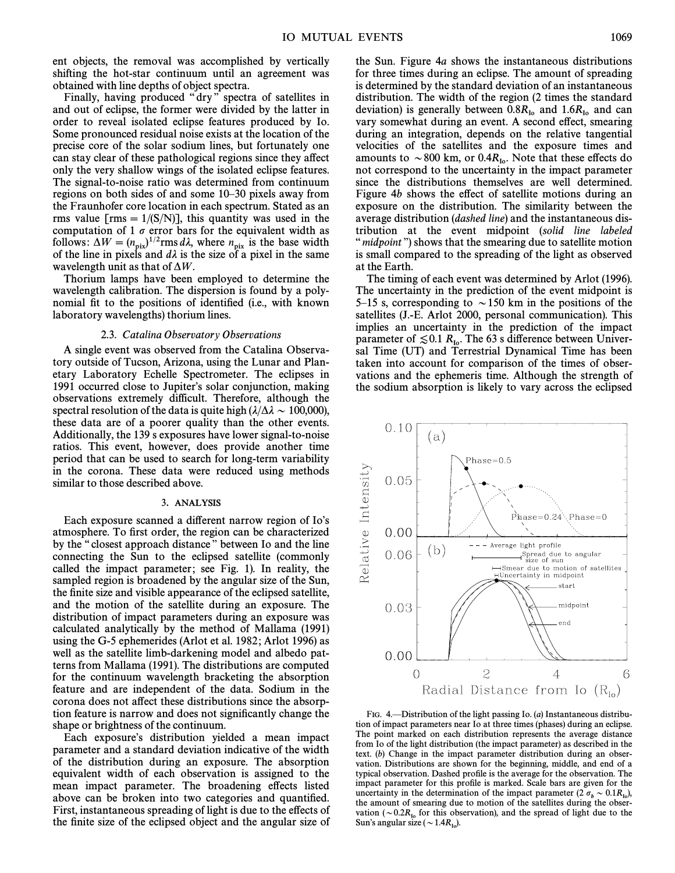ent objects, the removal was accomplished by vertically shifting the hot-star continuum until an agreement was obtained with line depths of object spectra.

Finally, having produced "dry" spectra of satellites in and out of eclipse, the former were divided by the latter in order to reveal isolated eclipse features produced by Io. Some pronounced residual noise exists at the location of the precise core of the solar sodium lines, but fortunately one can stay clear of these pathological regions since they affect only the very shallow wings of the isolated eclipse features. The signal-to-noise ratio was determined from continuum regions on both sides of and some  $10-30$  pixels away from the Fraunhofer core location in each spectrum. Stated as an rms value [rms =  $1/(S/N)$ ], this quantity was used in the computation of 1  $\sigma$  error bars for the equivalent width as follows:  $\Delta W = (n_{\text{pix}})^{1/2} \text{rms } d\lambda$ , where  $n_{\text{pix}}$  is the base width of the line in pixels and  $d\lambda$  is the size of a pixel in the same wavelength unit as that of  $\Delta W$ .

Thorium lamps have been employed to determine the wavelength calibration. The dispersion is found by a polynomial fit to the positions of identified (i.e., with known laboratory wavelengths) thorium lines.

## 2.3. Catalina Observatory Observations

A single event was observed from the Catalina Observatory outside of Tucson, Arizona, using the Lunar and Planetary Laboratory Echelle Spectrometer. The eclipses in 1991 occurred close to Jupiter's solar conjunction, making observations extremely difficult. Therefore, although the spectral resolution of the data is quite high  $(\lambda/\Delta\lambda \sim 100,000)$ , these data are of a poorer quality than the other events. Additionally, the 139 s exposures have lower signal-to-noise ratios. This event, however, does provide another time period that can be used to search for long-term variability in the corona. These data were reduced using methods similar to those described above.

#### 3. ANALYSIS

Each exposure scanned a different narrow region of Io's atmosphere. To first order, the region can be characterized by the "closest approach distance" between Io and the line connecting the Sun to the eclipsed satellite (commonly called the impact parameter; see Fig. 1). In reality, the sampled region is broadened by the angular size of the Sun, the finite size and visible appearance of the eclipsed satellite, and the motion of the satellite during an exposure. The distribution of impact parameters during an exposure was calculated analytically by the method of Mallama (1991) using the G-5 ephemerides (Arlot et al. 1982; Arlot 1996) as well as the satellite limb-darkening model and albedo patterns from Mallama (1991). The distributions are computed for the continuum wavelength bracketing the absorption feature and are independent of the data. Sodium in the corona does not affect these distributions since the absorption feature is narrow and does not significantly change the shape or brightness of the continuum.

Each exposure's distribution yielded a mean impact parameter and a standard deviation indicative of the width of the distribution during an exposure. The absorption equivalent width of each observation is assigned to the mean impact parameter. The broadening effects listed above can be broken into two categories and quantified. First, instantaneous spreading of light is due to the effects of the finite size of the eclipsed object and the angular size of the Sun. Figure 4a shows the instantaneous distributions for three times during an eclipse. The amount of spreading is determined by the standard deviation of an instantaneous distribution. The width of the region (2 times the standard deviation) is generally between  $0.8R_{I_0}$  and  $1.6R_{I_0}$  and can vary somewhat during an event. A second effect, smearing during an integration, depends on the relative tangential velocities of the satellites and the exposure times and amounts to  $\sim 800$  km, or 0.4 $R_{I_0}$ . Note that these effects do not correspond to the uncertainty in the impact parameter since the distributions themselves are well determined. Figure  $4b$  shows the effect of satellite motions during an exposure on the distribution. The similarity between the average distribution (dashed line) and the instantaneous distribution at the event midpoint (solid line labeled " midpoint") shows that the smearing due to satellite motion is small compared to the spreading of the light as observed at the Earth.

The timing of each event was determined by Arlot (1996). The uncertainty in the prediction of the event midpoint is 5–15 s, corresponding to  $\sim$  150 km in the positions of the satellites (J.-E. Arlot 2000, personal communication). This implies an uncertainty in the prediction of the impact parameter of  $\leq 0.1 R_{I_0}$ . The 63 s difference between Universal Time (UT) and Terrestrial Dynamical Time has been taken into account for comparison of the times of observations and the ephemeris time. Although the strength of the sodium absorption is likely to vary across the eclipsed



FIG. 4. 
EDISTRIBUTION Of the light passing Io. (a) Instantaneous distribution of impact parameters near Io at three times (phases) during an eclipse. The point marked on each distribution represents the average distance from Io of the light distribution (the impact parameter) as described in the text. (b) Change in the impact parameter distribution during an observation. Distributions are shown for the beginning, middle, and end of a typical observation. Dashed profile is the average for the observation. The impact parameter for this profile is marked. Scale bars are given for the uncertainty in the determination of the impact parameter  $(2 \sigma_b \sim 0.1 R_{\text{lo}})$ ,<br>the amount of smearing due to motion of the satellites during the obserthe amount of smearing due to motion of the satellites during the observation ( $\sim 0.2R_{I_0}$  for this observation), and the spread of light due to the Sun's angular size ( $\sim 1.4R_{I_0}$ ).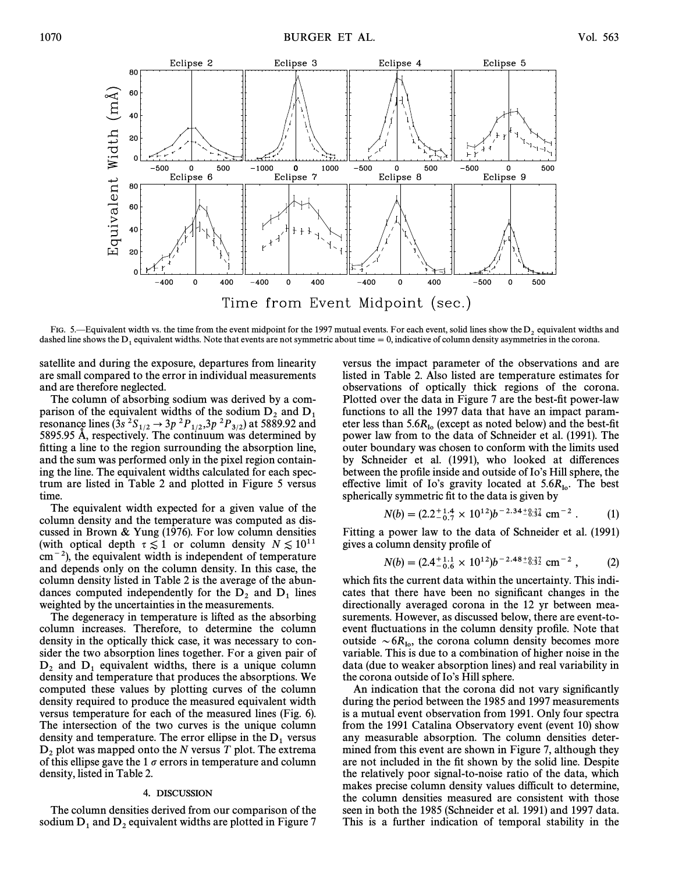

FIG. 5.—Equivalent width vs. the time from the event midpoint for the 1997 mutual events. For each event, solid lines show the  $D_2$  equivalent widths and dashed line shows the  $D_1$  equivalent widths. Note that events ar

satellite and during the exposure, departures from linearity are small compared to the error in individual measurements and are therefore neglected.

The column of absorbing sodium was derived by a comparison of the equivalent widths of the sodium  $D_2$  and  $D_1$ <br>resonance lines (3s <sup>2</sup>S<sub>1/2</sub>  $\rightarrow$  3p <sup>2</sup>P<sub>1/2</sub>,3p <sup>2</sup>P<sub>3/2</sub>) at 5889.92 and<br>5895.95 Å, respectively. The continuum was determined by fitting a line to the region surrounding the absorption line, and the sum was performed only in the pixel region containing the line. The equivalent widths calculated for each spectrum are listed in Table 2 and plotted in Figure 5 versus time.

The equivalent width expected for a given value of the column density and the temperature was computed as discussed in Brown & Yung (1976). For low column densities (with optical depth  $\tau \lesssim 1$  or column density  $N \lesssim 10^{11}$  $\text{cm}^{-2}$ ), the equivalent width is independent of temperature and depends only on the column density. In this case, the column density listed in Table 2 is the average of the abundances computed independently for the  $D_2$  and  $D_1$  lines weighted by the uncertainties in the measurements.

The degeneracy in temperature is lifted as the absorbing column increases. Therefore, to determine the column density in the optically thick case, it was necessary to consider the two absorption lines together. For a given pair of  $D_2$  and  $D_1$  equivalent widths, there is a unique column density and temperature that produces the absorptions. We computed these values by plotting curves of the column density required to produce the measured equivalent width versus temperature for each of the measured lines (Fig. 6). The intersection of the two curves is the unique column density and temperature. The error ellipse in the  $D_1$  versus  $D_2$  plot was mapped onto the N versus T plot. The extrema of this ellipse gave the 1  $\sigma$  errors in temperature and column density, listed in Table 2.

#### 4. DISCUSSION

The column densities derived from our comparison of the sodium  $D_1$  and  $D_2$  equivalent widths are plotted in Figure 7

versus the impact parameter of the observations and are listed in Table 2. Also listed are temperature estimates for observations of optically thick regions of the corona. Plotted over the data in Figure 7 are the best-fit power-law functions to all the 1997 data that have an impact parameter less than  $5.6R_{10}$  (except as noted below) and the best-fit power law from to the data of Schneider et al. (1991). The outer boundary was chosen to conform with the limits used by Schneider et al. (1991), who looked at differences between the profile inside and outside of Io's Hill sphere, the effective limit of Io's gravity located at  $5.6R_{\text{Io}}$ . The best spherically symmetric fit to the data is given by

$$
N(b) = (2.2^{+1.4}_{-0.7} \times 10^{12})b^{-2.34} {}^{+8.37}_{-8.34} \text{ cm}^{-2} . \tag{1}
$$

Fitting a power law to the data of Schneider et al. (1991) gives a column density profile of

$$
N(b) = (2.4^{+1.1}_{-0.6} \times 10^{12})b^{-2.48} {}^{+8.37}_{-8.32} \text{ cm}^{-2} , \qquad (2)
$$

which fits the current data within the uncertainty. This indicates that there have been no significant changes in the directionally averaged corona in the 12 yr between measurements. However, as discussed below, there are event-toevent fluctuations in the column density profile. Note that outside  $\sim 6R_{\text{Io}}$ , the corona column density becomes more variable. This is due to a combination of higher noise in the data (due to weaker absorption lines) and real variability in the corona outside of Io's Hill sphere.

An indication that the corona did not vary significantly during the period between the 1985 and 1997 measurements is a mutual event observation from 1991. Only four spectra from the 1991 Catalina Observatory event (event 10) show any measurable absorption. The column densities determined from this event are shown in Figure 7, although they are not included in the Ðt shown by the solid line. Despite the relatively poor signal-to-noise ratio of the data, which makes precise column density values difficult to determine, the column densities measured are consistent with those seen in both the 1985 (Schneider et al. 1991) and 1997 data. This is a further indication of temporal stability in the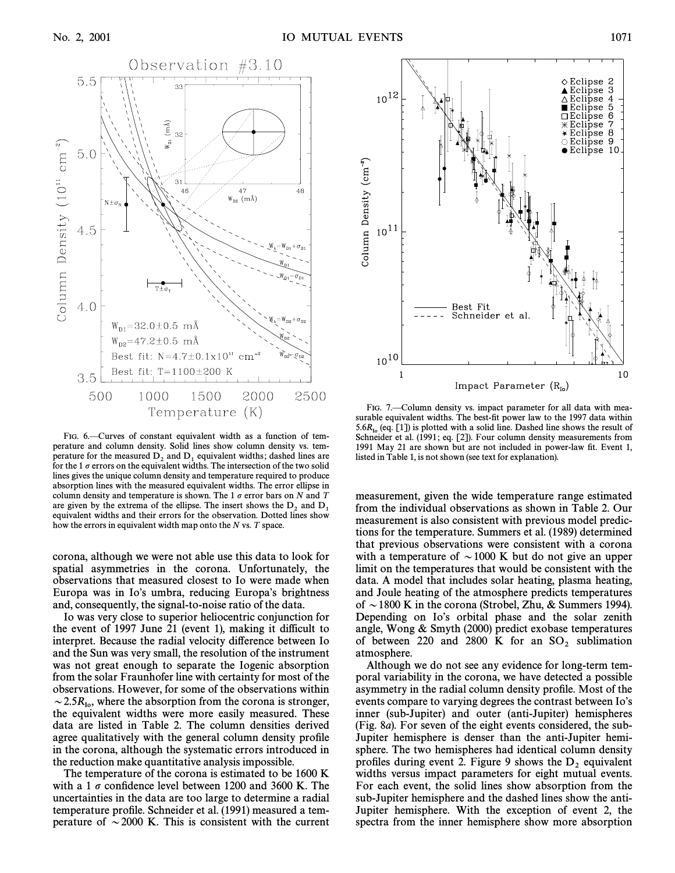

FIG. 6.-Curves of constant equivalent width as a function of temperature and column density. Solid lines show column density vs. temperature for the measured  $D_2$  and  $D_1$  equivalent widths; dashed lines are for the 1  $\sigma$  errors on the equivalent widths. The intersection of the two solid lines gives the unique column density and temperature required to produce absorption lines with the measured equivalent widths. The error ellipse in column density and temperature is shown. The 1  $\sigma$  error bars on N and T are given by the extrema of the ellipse. The insert shows the  $D_2$  and  $D_1$  equivalent widths and their errors for the observation. Dotted lines show how the errors in equivalent width map onto the  $N$  vs.  $T$  space.

corona, although we were not able use this data to look for spatial asymmetries in the corona. Unfortunately, the observations that measured closest to Io were made when Europa was in Io's umbra, reducing Europa's brightness and, consequently, the signal-to-noise ratio of the data.

Io was very close to superior heliocentric conjunction for the event of 1997 June 21 (event 1), making it difficult to interpret. Because the radial velocity difference between Io and the Sun was very small, the resolution of the instrument was not great enough to separate the Iogenic absorption from the solar Fraunhofer line with certainty for most of the observations. However, for some of the observations within  $\sim$  2.5 $R_{\text{Io}}$ , where the absorption from the corona is stronger, the equivalent widths were more easily measured. These data are listed in Table 2. The column densities derived agree qualitatively with the general column density profile in the corona, although the systematic errors introduced in the reduction make quantitative analysis impossible.

The temperature of the corona is estimated to be 1600 K with a 1  $\sigma$  confidence level between 1200 and 3600 K. The uncertainties in the data are too large to determine a radial temperature profile. Schneider et al. (1991) measured a temperature of  $\sim$  2000 K. This is consistent with the current



FIG. 7. Column density vs. impact parameter for all data with measurable equivalent widths. The best-fit power law to the 1997 data within  $5.6R_{10}$  (eq. [1]) is plotted with a solid line. Dashed line shows the result of Schneider et al. (1991; eq. [2]). Four column density measurements from 1991 May 21 are shown but are not included in power-law fit. Event 1, listed in Table 1, is not shown (see text for explanation).

measurement, given the wide temperature range estimated from the individual observations as shown in Table 2. Our measurement is also consistent with previous model predictions for the temperature. Summers et al. (1989) determined that previous observations were consistent with a corona with a temperature of  $\sim$  1000 K but do not give an upper limit on the temperatures that would be consistent with the data. A model that includes solar heating, plasma heating, and Joule heating of the atmosphere predicts temperatures of  $\sim$  1800 K in the corona (Strobel, Zhu, & Summers 1994). Depending on Io's orbital phase and the solar zenith angle, Wong & Smyth (2000) predict exobase temperatures of between 220 and 2800 K for an  $SO_2$  sublimation atmosphere.

Although we do not see any evidence for long-term temporal variability in the corona, we have detected a possible asymmetry in the radial column density profile. Most of the events compare to varying degrees the contrast between Io's inner (sub-Jupiter) and outer (anti-Jupiter) hemispheres (Fig. 8a). For seven of the eight events considered, the sub-Jupiter hemisphere is denser than the anti-Jupiter hemisphere. The two hemispheres had identical column density profiles during event 2. Figure 9 shows the  $D_2$  equivalent widths versus impact parameters for eight mutual events. For each event, the solid lines show absorption from the sub-Jupiter hemisphere and the dashed lines show the anti-Jupiter hemisphere. With the exception of event 2, the spectra from the inner hemisphere show more absorption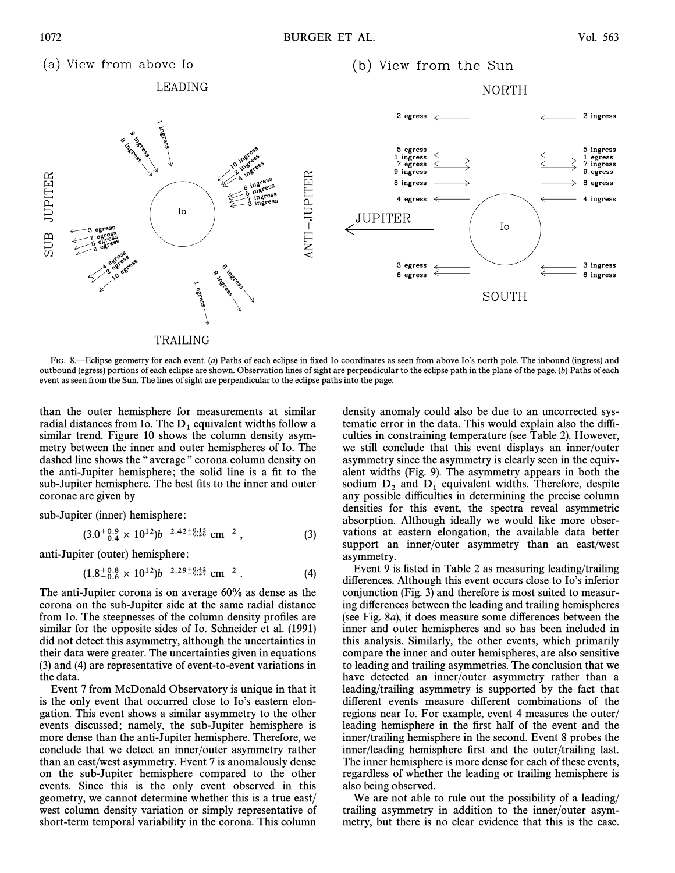(a) View from above Io (b) View from the Sun LEADING **NORTH** 2 ingress 5 egress 5 ingress 1 ingress<br>7 egress 1 egress<br>7 ingress 9 ingress 9 egress ANTI-JUPITER SUB-JUPITER 8 ingress 8 egress 4 egress 4 ingress Io JUPITER Io 3 ingress 3 egress 6 egress 6 ingress SOUTH TRAILING

FIG. 8.—Eclipse geometry for each event. (a) Paths of each eclipse in fixed Io coordinates as seen from above Io's north pole. The inbound (ingress) and outbound (egress) portions of each eclipse are shown. Observation lines of sight are perpendicular to the eclipse path in the plane of the page. (b) Paths of each event as seen from the Sun. The lines of sight are perpendicular to the eclipse paths into the page.

than the outer hemisphere for measurements at similar radial distances from Io. The  $D_1$  equivalent widths follow a similar trend. Figure 10 shows the column density asymmetry between the inner and outer hemispheres of Io. The dashed line shows the "average" corona column density on the anti-Jupiter hemisphere; the solid line is a fit to the sub-Jupiter hemisphere. The best fits to the inner and outer coronae are given by

sub-Jupiter (inner) hemisphere:

$$
(3.0^{+0.9}_{-0.4} \times 10^{12})b^{-2.42^{+0.15}_{-0.26}} \text{ cm}^{-2} , \qquad (3)
$$

anti-Jupiter (outer) hemisphere:

$$
(1.8^{+0.8}_{-0.6} \times 10^{12})b^{-2.29^{+0.42}_{-0.29^{+0.42}_{-0.29^{+0.42}_{-0.6}} \text{ cm}^{-2} \ . \tag{4}
$$

The anti-Jupiter corona is on average 60% as dense as the corona on the sub-Jupiter side at the same radial distance from Io. The steepnesses of the column density profiles are similar for the opposite sides of Io. Schneider et al. (1991) did not detect this asymmetry, although the uncertainties in their data were greater. The uncertainties given in equations (3) and (4) are representative of event-to-event variations in the data.

Event 7 from McDonald Observatory is unique in that it is the only event that occurred close to Io's eastern elongation. This event shows a similar asymmetry to the other events discussed; namely, the sub-Jupiter hemisphere is more dense than the anti-Jupiter hemisphere. Therefore, we conclude that we detect an inner/outer asymmetry rather than an east/west asymmetry. Event 7 is anomalously dense on the sub-Jupiter hemisphere compared to the other events. Since this is the only event observed in this geometry, we cannot determine whether this is a true east/ west column density variation or simply representative of short-term temporal variability in the corona. This column density anomaly could also be due to an uncorrected systematic error in the data. This would explain also the difficulties in constraining temperature (see Table 2). However, we still conclude that this event displays an inner/outer asymmetry since the asymmetry is clearly seen in the equivalent widths (Fig. 9). The asymmetry appears in both the sodium  $D_2$  and  $D_1$  equivalent widths. Therefore, despite any possible difficulties in determining the precise column densities for this event, the spectra reveal asymmetric absorption. Although ideally we would like more observations at eastern elongation, the available data better support an inner/outer asymmetry than an east/west asymmetry.

Event 9 is listed in Table 2 as measuring leading/trailing differences. Although this event occurs close to Io's inferior conjunction (Fig. 3) and therefore is most suited to measuring differences between the leading and trailing hemispheres (see Fig. 8*a*), it does measure some differences between the inner and outer hemispheres and so has been included in this analysis. Similarly, the other events, which primarily compare the inner and outer hemispheres, are also sensitive to leading and trailing asymmetries. The conclusion that we have detected an inner/outer asymmetry rather than a leading/trailing asymmetry is supported by the fact that different events measure different combinations of the regions near Io. For example, event 4 measures the outer/ leading hemisphere in the first half of the event and the inner/trailing hemisphere in the second. Event 8 probes the inner/leading hemisphere first and the outer/trailing last. The inner hemisphere is more dense for each of these events, regardless of whether the leading or trailing hemisphere is also being observed.

We are not able to rule out the possibility of a leading/ trailing asymmetry in addition to the inner/outer asymmetry, but there is no clear evidence that this is the case.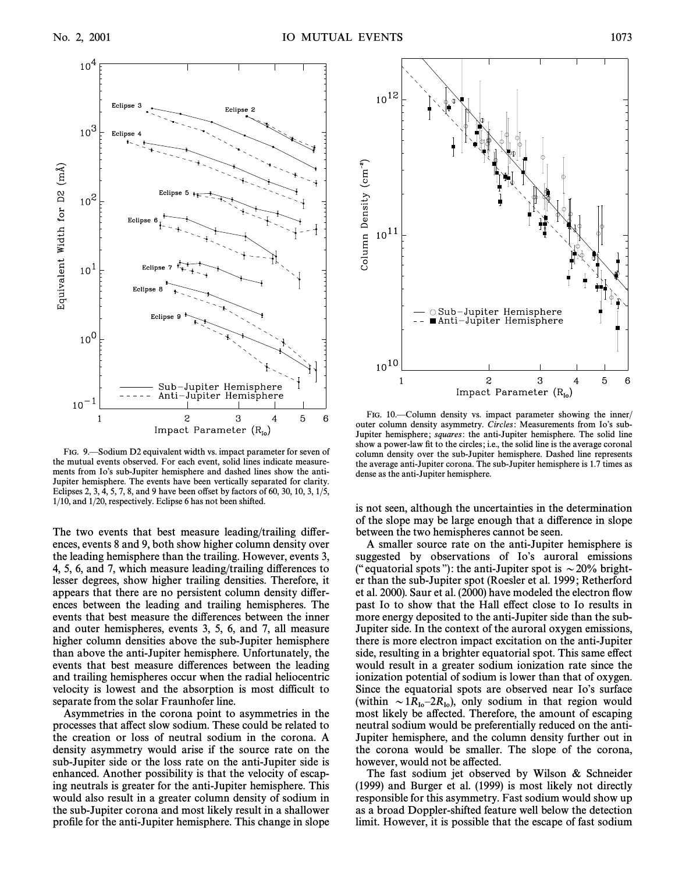

FIG. 9.—Sodium D2 equivalent width vs. impact parameter for seven of the mutual events observed. For each event, solid lines indicate measurements from Io's sub-Jupiter hemisphere and dashed lines show the anti-Jupiter hemisphere. The events have been vertically separated for clarity. Eclipses 2, 3,  $\overline{4}$ , 5, 7, 8, and 9 have been offset by factors of 60, 30, 10, 3, 1/5, 1/10, and 1/20, respectively. Eclipse 6 has not been shifted.

The two events that best measure leading/trailing differences, events 8 and 9, both show higher column density over the leading hemisphere than the trailing. However, events 3, 4, 5, 6, and 7, which measure leading/trailing di†erences to lesser degrees, show higher trailing densities. Therefore, it appears that there are no persistent column density di†erences between the leading and trailing hemispheres. The events that best measure the differences between the inner and outer hemispheres, events 3, 5, 6, and 7, all measure higher column densities above the sub-Jupiter hemisphere than above the anti-Jupiter hemisphere. Unfortunately, the events that best measure differences between the leading and trailing hemispheres occur when the radial heliocentric velocity is lowest and the absorption is most difficult to separate from the solar Fraunhofer line.

Asymmetries in the corona point to asymmetries in the processes that affect slow sodium. These could be related to the creation or loss of neutral sodium in the corona. A density asymmetry would arise if the source rate on the sub-Jupiter side or the loss rate on the anti-Jupiter side is enhanced. Another possibility is that the velocity of escaping neutrals is greater for the anti-Jupiter hemisphere. This would also result in a greater column density of sodium in the sub-Jupiter corona and most likely result in a shallower profile for the anti-Jupiter hemisphere. This change in slope



FIG. 10.—Column density vs. impact parameter showing the inner/ outer column density asymmetry. Circles: Measurements from Io's sub-Jupiter hemisphere; *squares*: the anti-Jupiter hemisphere. The solid line show a power-law fit to the circles; i.e., the solid line is the average coronal column density over the sub-Jupiter hemisphere. Dashed line represents the average anti-Jupiter corona. The sub-Jupiter hemisphere is 1.7 times as dense as the anti-Jupiter hemisphere.

is not seen, although the uncertainties in the determination of the slope may be large enough that a di†erence in slope between the two hemispheres cannot be seen.

A smaller source rate on the anti-Jupiter hemisphere is suggested by observations of Io's auroral emissions ("equatorial spots"): the anti-Jupiter spot is  $\sim$  20% brighter than the sub-Jupiter spot (Roesler et al. 1999; Retherford et al. 2000). Saur et al. (2000) have modeled the electron Ñow past Io to show that the Hall effect close to Io results in more energy deposited to the anti-Jupiter side than the sub-Jupiter side. In the context of the auroral oxygen emissions, there is more electron impact excitation on the anti-Jupiter side, resulting in a brighter equatorial spot. This same effect would result in a greater sodium ionization rate since the ionization potential of sodium is lower than that of oxygen. Since the equatorial spots are observed near Io's surface (within  $\sim 1R_{I_0}-2R_{I_0}$ ), only sodium in that region would most likely be affected. Therefore, the amount of escaping neutral sodium would be preferentially reduced on the anti-Jupiter hemisphere, and the column density further out in the corona would be smaller. The slope of the corona, however, would not be affected.

The fast sodium jet observed by Wilson & Schneider (1999) and Burger et al. (1999) is most likely not directly responsible for this asymmetry. Fast sodium would show up as a broad Doppler-shifted feature well below the detection limit. However, it is possible that the escape of fast sodium